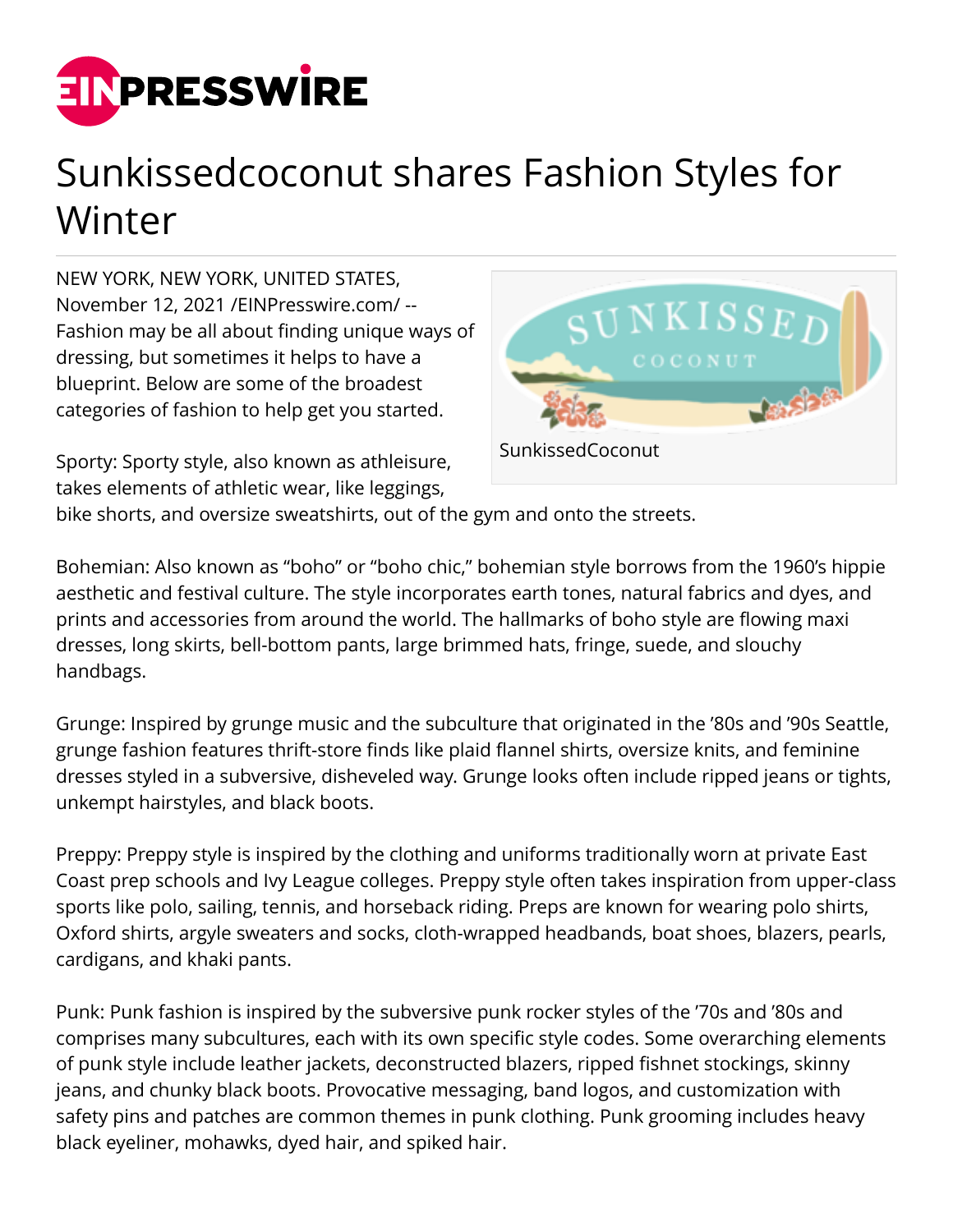

## Sunkissedcoconut shares Fashion Styles for Winter

NEW YORK, NEW YORK, UNITED STATES, November 12, 2021 /[EINPresswire.com/](http://www.einpresswire.com) -- Fashion may be all about finding unique ways of dressing, but sometimes it helps to have a blueprint. Below are some of the broadest categories of fashion to help get you started.

Sporty: Sporty style, also known as athleisure, takes elements of athletic wear, like leggings,



bike shorts, and oversize sweatshirts, out of the gym and onto the streets.

Bohemian: Also known as "boho" or "boho chic," bohemian style borrows from the 1960's hippie aesthetic and festival culture. The style incorporates earth tones, natural fabrics and dyes, and prints and accessories from around the world. The hallmarks of boho style are flowing maxi dresses, long skirts, bell-bottom pants, large brimmed hats, fringe, suede, and slouchy handbags.

Grunge: Inspired by grunge music and the subculture that originated in the '80s and '90s Seattle, grunge fashion features thrift-store finds like plaid flannel shirts, oversize knits, and feminine dresses styled in a subversive, disheveled way. Grunge looks often include ripped jeans or tights, unkempt hairstyles, and black boots.

Preppy: Preppy style is inspired by the clothing and uniforms traditionally worn at private East Coast prep schools and Ivy League colleges. Preppy style often takes inspiration from upper-class sports like polo, sailing, tennis, and horseback riding. Preps are known for wearing polo shirts, Oxford shirts, argyle sweaters and socks, cloth-wrapped headbands, boat shoes, blazers, pearls, cardigans, and khaki pants.

Punk: Punk fashion is inspired by the subversive punk rocker styles of the '70s and '80s and comprises many subcultures, each with its own specific style codes. Some overarching elements of punk style include leather jackets, deconstructed blazers, ripped fishnet stockings, skinny jeans, and chunky black boots. Provocative messaging, band logos, and customization with safety pins and patches are common themes in punk clothing. Punk grooming includes heavy black eyeliner, mohawks, dyed hair, and spiked hair.